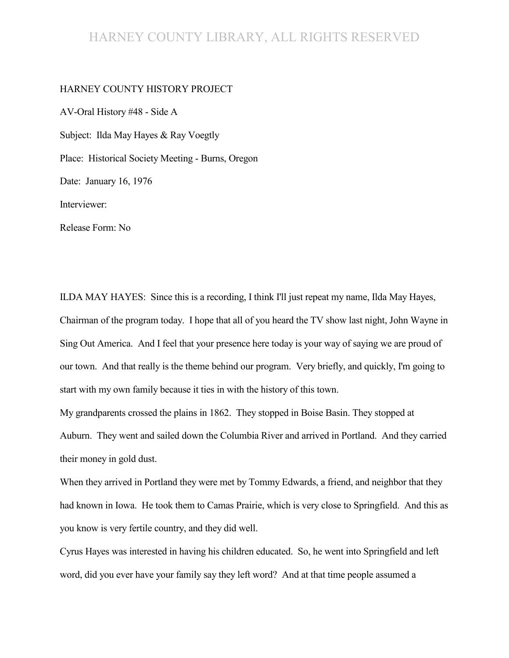#### HARNEY COUNTY LIBRARY, ALL RIGHTS RESERVED

#### HARNEY COUNTY HISTORY PROJECT

AV-Oral History #48 - Side A Subject: Ilda May Hayes & Ray Voegtly Place: Historical Society Meeting - Burns, Oregon Date: January 16, 1976 Interviewer: Release Form: No

ILDA MAY HAYES: Since this is a recording, I think I'll just repeat my name, Ilda May Hayes, Chairman of the program today. I hope that all of you heard the TV show last night, John Wayne in Sing Out America. And I feel that your presence here today is your way of saying we are proud of our town. And that really is the theme behind our program. Very briefly, and quickly, I'm going to start with my own family because it ties in with the history of this town.

My grandparents crossed the plains in 1862. They stopped in Boise Basin. They stopped at Auburn. They went and sailed down the Columbia River and arrived in Portland. And they carried their money in gold dust.

When they arrived in Portland they were met by Tommy Edwards, a friend, and neighbor that they had known in Iowa. He took them to Camas Prairie, which is very close to Springfield. And this as you know is very fertile country, and they did well.

Cyrus Hayes was interested in having his children educated. So, he went into Springfield and left word, did you ever have your family say they left word? And at that time people assumed a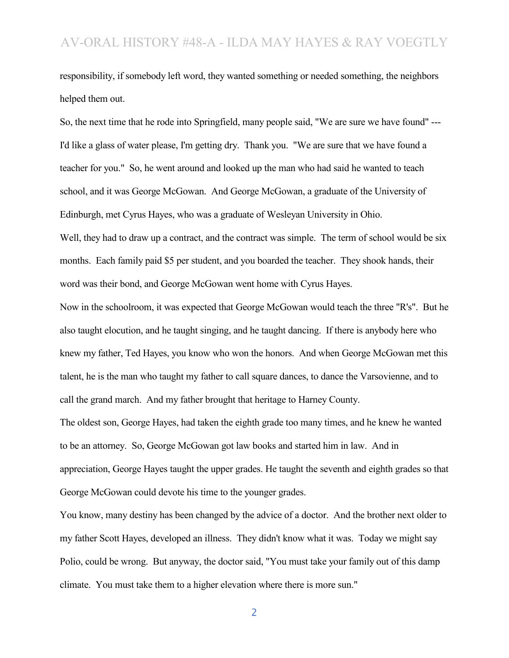responsibility, if somebody left word, they wanted something or needed something, the neighbors helped them out.

So, the next time that he rode into Springfield, many people said, "We are sure we have found" --- I'd like a glass of water please, I'm getting dry. Thank you. "We are sure that we have found a teacher for you." So, he went around and looked up the man who had said he wanted to teach school, and it was George McGowan. And George McGowan, a graduate of the University of Edinburgh, met Cyrus Hayes, who was a graduate of Wesleyan University in Ohio.

Well, they had to draw up a contract, and the contract was simple. The term of school would be six months. Each family paid \$5 per student, and you boarded the teacher. They shook hands, their word was their bond, and George McGowan went home with Cyrus Hayes.

Now in the schoolroom, it was expected that George McGowan would teach the three "R's". But he also taught elocution, and he taught singing, and he taught dancing. If there is anybody here who knew my father, Ted Hayes, you know who won the honors. And when George McGowan met this talent, he is the man who taught my father to call square dances, to dance the Varsovienne, and to call the grand march. And my father brought that heritage to Harney County.

The oldest son, George Hayes, had taken the eighth grade too many times, and he knew he wanted to be an attorney. So, George McGowan got law books and started him in law. And in appreciation, George Hayes taught the upper grades. He taught the seventh and eighth grades so that George McGowan could devote his time to the younger grades.

You know, many destiny has been changed by the advice of a doctor. And the brother next older to my father Scott Hayes, developed an illness. They didn't know what it was. Today we might say Polio, could be wrong. But anyway, the doctor said, "You must take your family out of this damp climate. You must take them to a higher elevation where there is more sun."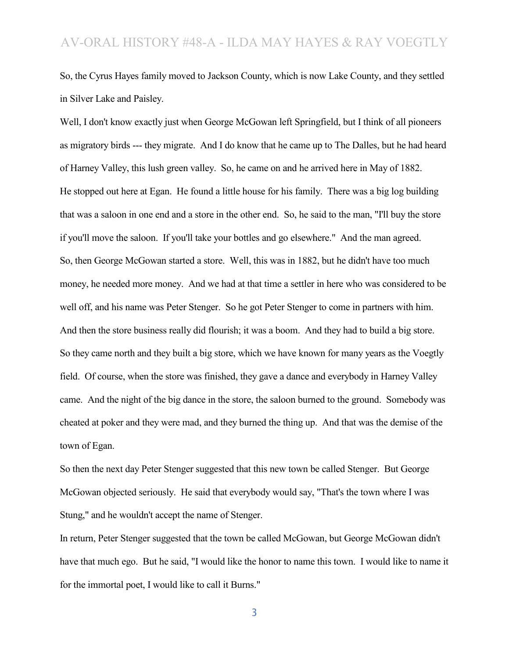So, the Cyrus Hayes family moved to Jackson County, which is now Lake County, and they settled in Silver Lake and Paisley.

Well, I don't know exactly just when George McGowan left Springfield, but I think of all pioneers as migratory birds --- they migrate. And I do know that he came up to The Dalles, but he had heard of Harney Valley, this lush green valley. So, he came on and he arrived here in May of 1882. He stopped out here at Egan. He found a little house for his family. There was a big log building that was a saloon in one end and a store in the other end. So, he said to the man, "I'll buy the store if you'll move the saloon. If you'll take your bottles and go elsewhere." And the man agreed. So, then George McGowan started a store. Well, this was in 1882, but he didn't have too much money, he needed more money. And we had at that time a settler in here who was considered to be well off, and his name was Peter Stenger. So he got Peter Stenger to come in partners with him. And then the store business really did flourish; it was a boom. And they had to build a big store. So they came north and they built a big store, which we have known for many years as the Voegtly field. Of course, when the store was finished, they gave a dance and everybody in Harney Valley came. And the night of the big dance in the store, the saloon burned to the ground. Somebody was cheated at poker and they were mad, and they burned the thing up. And that was the demise of the town of Egan.

So then the next day Peter Stenger suggested that this new town be called Stenger. But George McGowan objected seriously. He said that everybody would say, "That's the town where I was Stung," and he wouldn't accept the name of Stenger.

In return, Peter Stenger suggested that the town be called McGowan, but George McGowan didn't have that much ego. But he said, "I would like the honor to name this town. I would like to name it for the immortal poet, I would like to call it Burns."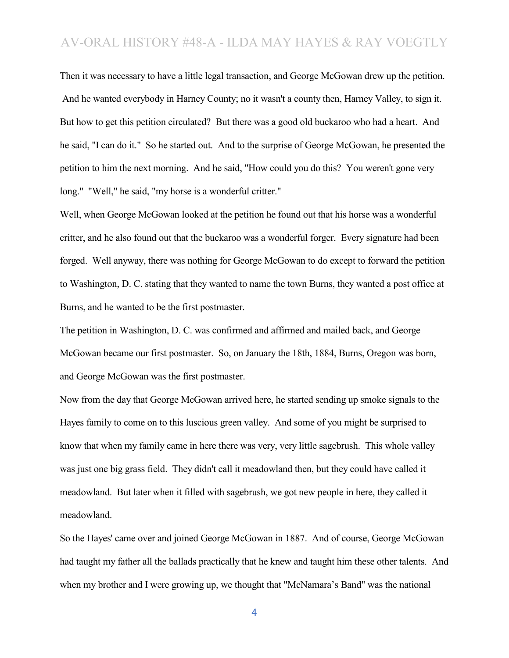Then it was necessary to have a little legal transaction, and George McGowan drew up the petition. And he wanted everybody in Harney County; no it wasn't a county then, Harney Valley, to sign it. But how to get this petition circulated? But there was a good old buckaroo who had a heart. And he said, "I can do it." So he started out. And to the surprise of George McGowan, he presented the petition to him the next morning. And he said, "How could you do this? You weren't gone very long." "Well," he said, "my horse is a wonderful critter."

Well, when George McGowan looked at the petition he found out that his horse was a wonderful critter, and he also found out that the buckaroo was a wonderful forger. Every signature had been forged. Well anyway, there was nothing for George McGowan to do except to forward the petition to Washington, D. C. stating that they wanted to name the town Burns, they wanted a post office at Burns, and he wanted to be the first postmaster.

The petition in Washington, D. C. was confirmed and affirmed and mailed back, and George McGowan became our first postmaster. So, on January the 18th, 1884, Burns, Oregon was born, and George McGowan was the first postmaster.

Now from the day that George McGowan arrived here, he started sending up smoke signals to the Hayes family to come on to this luscious green valley. And some of you might be surprised to know that when my family came in here there was very, very little sagebrush. This whole valley was just one big grass field. They didn't call it meadowland then, but they could have called it meadowland. But later when it filled with sagebrush, we got new people in here, they called it meadowland.

So the Hayes' came over and joined George McGowan in 1887. And of course, George McGowan had taught my father all the ballads practically that he knew and taught him these other talents. And when my brother and I were growing up, we thought that "McNamara's Band" was the national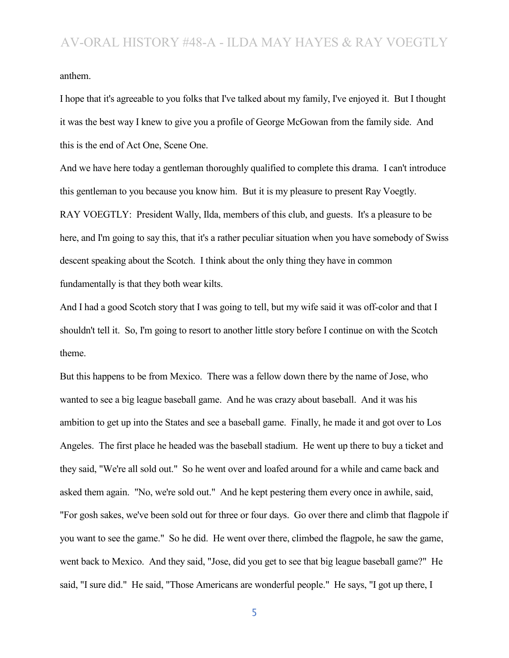anthem.

I hope that it's agreeable to you folks that I've talked about my family, I've enjoyed it. But I thought it was the best way I knew to give you a profile of George McGowan from the family side. And this is the end of Act One, Scene One.

And we have here today a gentleman thoroughly qualified to complete this drama. I can't introduce this gentleman to you because you know him. But it is my pleasure to present Ray Voegtly. RAY VOEGTLY: President Wally, Ilda, members of this club, and guests. It's a pleasure to be here, and I'm going to say this, that it's a rather peculiar situation when you have somebody of Swiss descent speaking about the Scotch. I think about the only thing they have in common fundamentally is that they both wear kilts.

And I had a good Scotch story that I was going to tell, but my wife said it was off-color and that I shouldn't tell it. So, I'm going to resort to another little story before I continue on with the Scotch theme.

But this happens to be from Mexico. There was a fellow down there by the name of Jose, who wanted to see a big league baseball game. And he was crazy about baseball. And it was his ambition to get up into the States and see a baseball game. Finally, he made it and got over to Los Angeles. The first place he headed was the baseball stadium. He went up there to buy a ticket and they said, "We're all sold out." So he went over and loafed around for a while and came back and asked them again. "No, we're sold out." And he kept pestering them every once in awhile, said, "For gosh sakes, we've been sold out for three or four days. Go over there and climb that flagpole if you want to see the game." So he did. He went over there, climbed the flagpole, he saw the game, went back to Mexico. And they said, "Jose, did you get to see that big league baseball game?" He said, "I sure did." He said, "Those Americans are wonderful people." He says, "I got up there, I

<sup>5</sup>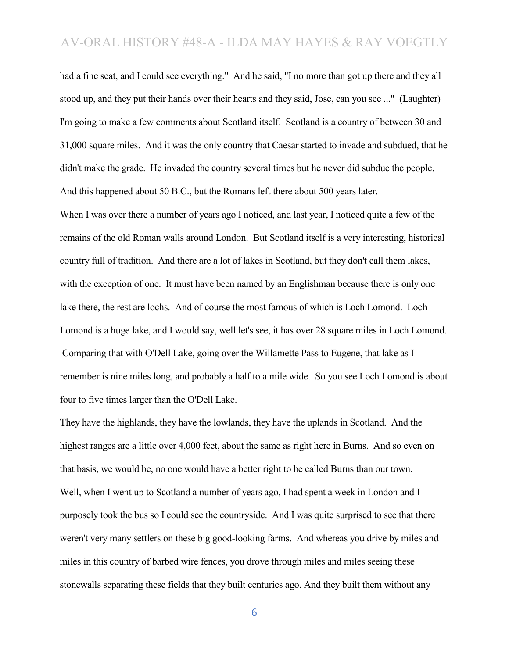had a fine seat, and I could see everything." And he said, "I no more than got up there and they all stood up, and they put their hands over their hearts and they said, Jose, can you see ..." (Laughter) I'm going to make a few comments about Scotland itself. Scotland is a country of between 30 and 31,000 square miles. And it was the only country that Caesar started to invade and subdued, that he didn't make the grade. He invaded the country several times but he never did subdue the people. And this happened about 50 B.C., but the Romans left there about 500 years later.

When I was over there a number of years ago I noticed, and last year, I noticed quite a few of the remains of the old Roman walls around London. But Scotland itself is a very interesting, historical country full of tradition. And there are a lot of lakes in Scotland, but they don't call them lakes, with the exception of one. It must have been named by an Englishman because there is only one lake there, the rest are lochs. And of course the most famous of which is Loch Lomond. Loch Lomond is a huge lake, and I would say, well let's see, it has over 28 square miles in Loch Lomond. Comparing that with O'Dell Lake, going over the Willamette Pass to Eugene, that lake as I remember is nine miles long, and probably a half to a mile wide. So you see Loch Lomond is about four to five times larger than the O'Dell Lake.

They have the highlands, they have the lowlands, they have the uplands in Scotland. And the highest ranges are a little over 4,000 feet, about the same as right here in Burns. And so even on that basis, we would be, no one would have a better right to be called Burns than our town. Well, when I went up to Scotland a number of years ago, I had spent a week in London and I purposely took the bus so I could see the countryside. And I was quite surprised to see that there weren't very many settlers on these big good-looking farms. And whereas you drive by miles and miles in this country of barbed wire fences, you drove through miles and miles seeing these stonewalls separating these fields that they built centuries ago. And they built them without any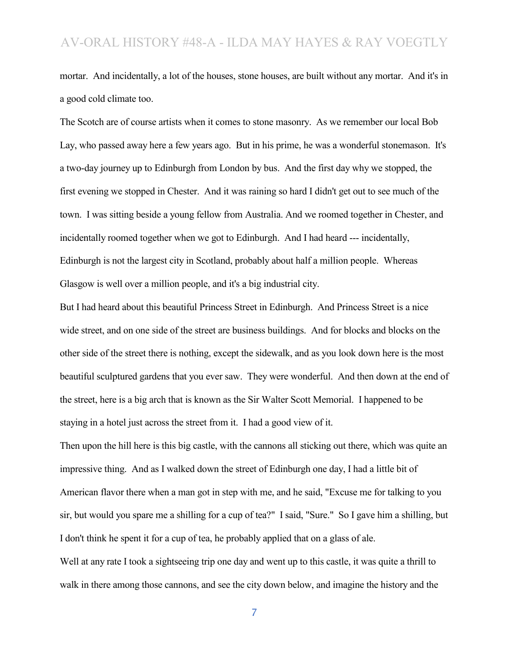mortar. And incidentally, a lot of the houses, stone houses, are built without any mortar. And it's in a good cold climate too.

The Scotch are of course artists when it comes to stone masonry. As we remember our local Bob Lay, who passed away here a few years ago. But in his prime, he was a wonderful stonemason. It's a two-day journey up to Edinburgh from London by bus. And the first day why we stopped, the first evening we stopped in Chester. And it was raining so hard I didn't get out to see much of the town. I was sitting beside a young fellow from Australia. And we roomed together in Chester, and incidentally roomed together when we got to Edinburgh. And I had heard --- incidentally, Edinburgh is not the largest city in Scotland, probably about half a million people. Whereas Glasgow is well over a million people, and it's a big industrial city.

But I had heard about this beautiful Princess Street in Edinburgh. And Princess Street is a nice wide street, and on one side of the street are business buildings. And for blocks and blocks on the other side of the street there is nothing, except the sidewalk, and as you look down here is the most beautiful sculptured gardens that you ever saw. They were wonderful. And then down at the end of the street, here is a big arch that is known as the Sir Walter Scott Memorial. I happened to be staying in a hotel just across the street from it. I had a good view of it.

Then upon the hill here is this big castle, with the cannons all sticking out there, which was quite an impressive thing. And as I walked down the street of Edinburgh one day, I had a little bit of American flavor there when a man got in step with me, and he said, "Excuse me for talking to you sir, but would you spare me a shilling for a cup of tea?" I said, "Sure." So I gave him a shilling, but I don't think he spent it for a cup of tea, he probably applied that on a glass of ale.

Well at any rate I took a sightseeing trip one day and went up to this castle, it was quite a thrill to walk in there among those cannons, and see the city down below, and imagine the history and the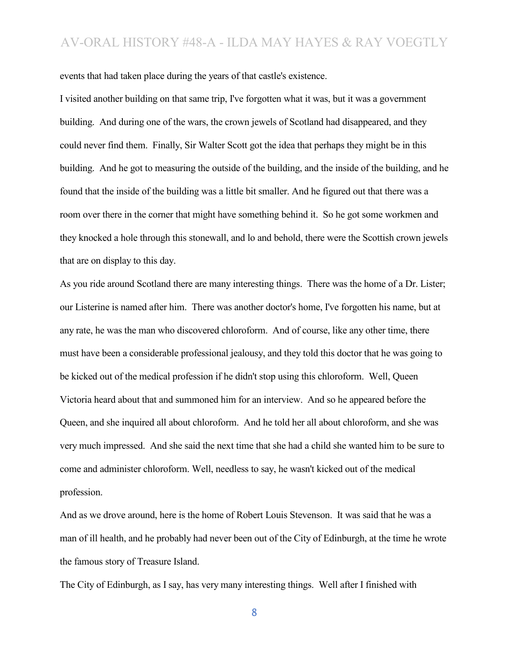events that had taken place during the years of that castle's existence.

I visited another building on that same trip, I've forgotten what it was, but it was a government building. And during one of the wars, the crown jewels of Scotland had disappeared, and they could never find them. Finally, Sir Walter Scott got the idea that perhaps they might be in this building. And he got to measuring the outside of the building, and the inside of the building, and he found that the inside of the building was a little bit smaller. And he figured out that there was a room over there in the corner that might have something behind it. So he got some workmen and they knocked a hole through this stonewall, and lo and behold, there were the Scottish crown jewels that are on display to this day.

As you ride around Scotland there are many interesting things. There was the home of a Dr. Lister; our Listerine is named after him. There was another doctor's home, I've forgotten his name, but at any rate, he was the man who discovered chloroform. And of course, like any other time, there must have been a considerable professional jealousy, and they told this doctor that he was going to be kicked out of the medical profession if he didn't stop using this chloroform. Well, Queen Victoria heard about that and summoned him for an interview. And so he appeared before the Queen, and she inquired all about chloroform. And he told her all about chloroform, and she was very much impressed. And she said the next time that she had a child she wanted him to be sure to come and administer chloroform. Well, needless to say, he wasn't kicked out of the medical profession.

And as we drove around, here is the home of Robert Louis Stevenson. It was said that he was a man of ill health, and he probably had never been out of the City of Edinburgh, at the time he wrote the famous story of Treasure Island.

The City of Edinburgh, as I say, has very many interesting things. Well after I finished with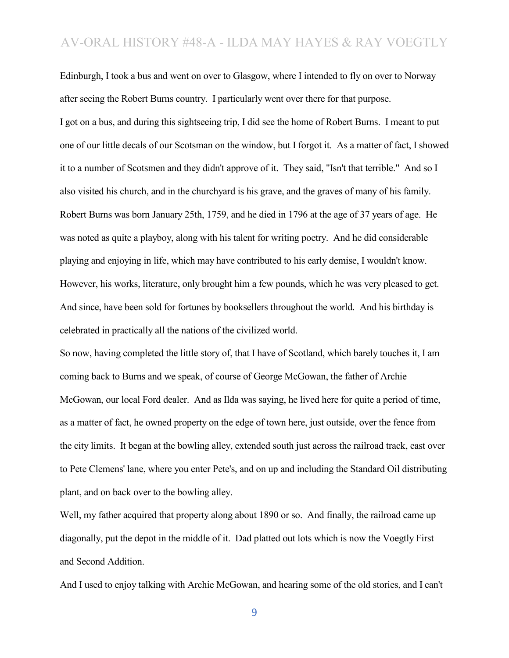Edinburgh, I took a bus and went on over to Glasgow, where I intended to fly on over to Norway after seeing the Robert Burns country. I particularly went over there for that purpose. I got on a bus, and during this sightseeing trip, I did see the home of Robert Burns. I meant to put one of our little decals of our Scotsman on the window, but I forgot it. As a matter of fact, I showed it to a number of Scotsmen and they didn't approve of it. They said, "Isn't that terrible." And so I also visited his church, and in the churchyard is his grave, and the graves of many of his family. Robert Burns was born January 25th, 1759, and he died in 1796 at the age of 37 years of age. He was noted as quite a playboy, along with his talent for writing poetry. And he did considerable playing and enjoying in life, which may have contributed to his early demise, I wouldn't know. However, his works, literature, only brought him a few pounds, which he was very pleased to get. And since, have been sold for fortunes by booksellers throughout the world. And his birthday is celebrated in practically all the nations of the civilized world.

So now, having completed the little story of, that I have of Scotland, which barely touches it, I am coming back to Burns and we speak, of course of George McGowan, the father of Archie McGowan, our local Ford dealer. And as Ilda was saying, he lived here for quite a period of time, as a matter of fact, he owned property on the edge of town here, just outside, over the fence from the city limits. It began at the bowling alley, extended south just across the railroad track, east over to Pete Clemens' lane, where you enter Pete's, and on up and including the Standard Oil distributing plant, and on back over to the bowling alley.

Well, my father acquired that property along about 1890 or so. And finally, the railroad came up diagonally, put the depot in the middle of it. Dad platted out lots which is now the Voegtly First and Second Addition.

And I used to enjoy talking with Archie McGowan, and hearing some of the old stories, and I can't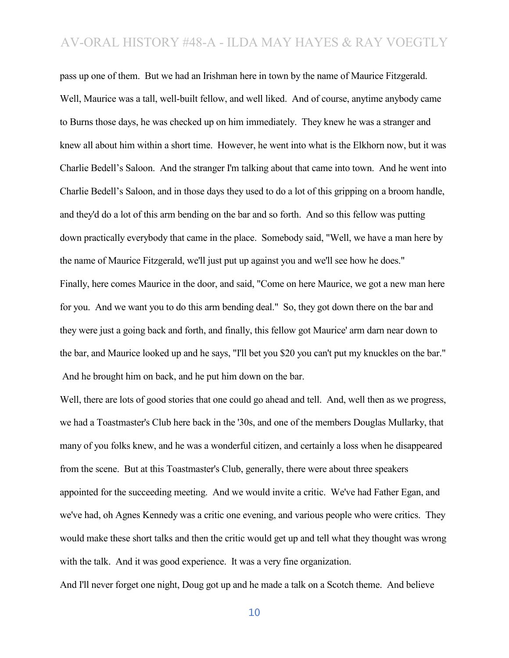pass up one of them. But we had an Irishman here in town by the name of Maurice Fitzgerald. Well, Maurice was a tall, well-built fellow, and well liked. And of course, anytime anybody came to Burns those days, he was checked up on him immediately. They knew he was a stranger and knew all about him within a short time. However, he went into what is the Elkhorn now, but it was Charlie Bedell's Saloon. And the stranger I'm talking about that came into town. And he went into Charlie Bedell's Saloon, and in those days they used to do a lot of this gripping on a broom handle, and they'd do a lot of this arm bending on the bar and so forth. And so this fellow was putting down practically everybody that came in the place. Somebody said, "Well, we have a man here by the name of Maurice Fitzgerald, we'll just put up against you and we'll see how he does." Finally, here comes Maurice in the door, and said, "Come on here Maurice, we got a new man here for you. And we want you to do this arm bending deal." So, they got down there on the bar and they were just a going back and forth, and finally, this fellow got Maurice' arm darn near down to the bar, and Maurice looked up and he says, "I'll bet you \$20 you can't put my knuckles on the bar." And he brought him on back, and he put him down on the bar.

Well, there are lots of good stories that one could go ahead and tell. And, well then as we progress, we had a Toastmaster's Club here back in the '30s, and one of the members Douglas Mullarky, that many of you folks knew, and he was a wonderful citizen, and certainly a loss when he disappeared from the scene. But at this Toastmaster's Club, generally, there were about three speakers appointed for the succeeding meeting. And we would invite a critic. We've had Father Egan, and we've had, oh Agnes Kennedy was a critic one evening, and various people who were critics. They would make these short talks and then the critic would get up and tell what they thought was wrong with the talk. And it was good experience. It was a very fine organization.

And I'll never forget one night, Doug got up and he made a talk on a Scotch theme. And believe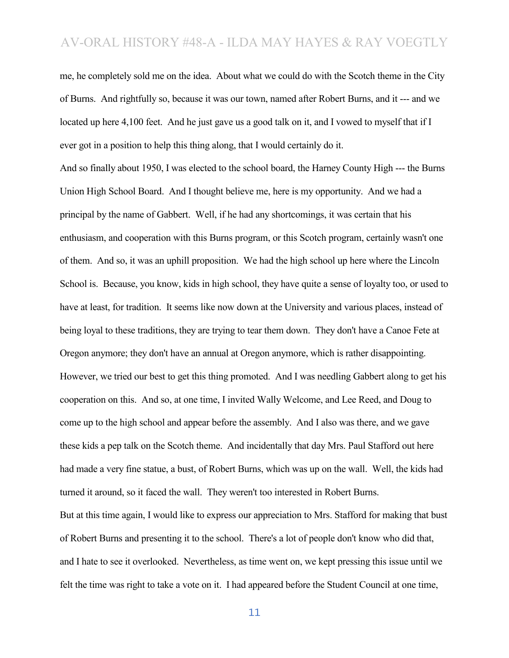me, he completely sold me on the idea. About what we could do with the Scotch theme in the City of Burns. And rightfully so, because it was our town, named after Robert Burns, and it --- and we located up here 4,100 feet. And he just gave us a good talk on it, and I vowed to myself that if I ever got in a position to help this thing along, that I would certainly do it.

And so finally about 1950, I was elected to the school board, the Harney County High --- the Burns Union High School Board. And I thought believe me, here is my opportunity. And we had a principal by the name of Gabbert. Well, if he had any shortcomings, it was certain that his enthusiasm, and cooperation with this Burns program, or this Scotch program, certainly wasn't one of them. And so, it was an uphill proposition. We had the high school up here where the Lincoln School is. Because, you know, kids in high school, they have quite a sense of loyalty too, or used to have at least, for tradition. It seems like now down at the University and various places, instead of being loyal to these traditions, they are trying to tear them down. They don't have a Canoe Fete at Oregon anymore; they don't have an annual at Oregon anymore, which is rather disappointing. However, we tried our best to get this thing promoted. And I was needling Gabbert along to get his cooperation on this. And so, at one time, I invited Wally Welcome, and Lee Reed, and Doug to come up to the high school and appear before the assembly. And I also was there, and we gave these kids a pep talk on the Scotch theme. And incidentally that day Mrs. Paul Stafford out here had made a very fine statue, a bust, of Robert Burns, which was up on the wall. Well, the kids had turned it around, so it faced the wall. They weren't too interested in Robert Burns. But at this time again, I would like to express our appreciation to Mrs. Stafford for making that bust of Robert Burns and presenting it to the school. There's a lot of people don't know who did that, and I hate to see it overlooked. Nevertheless, as time went on, we kept pressing this issue until we felt the time was right to take a vote on it. I had appeared before the Student Council at one time,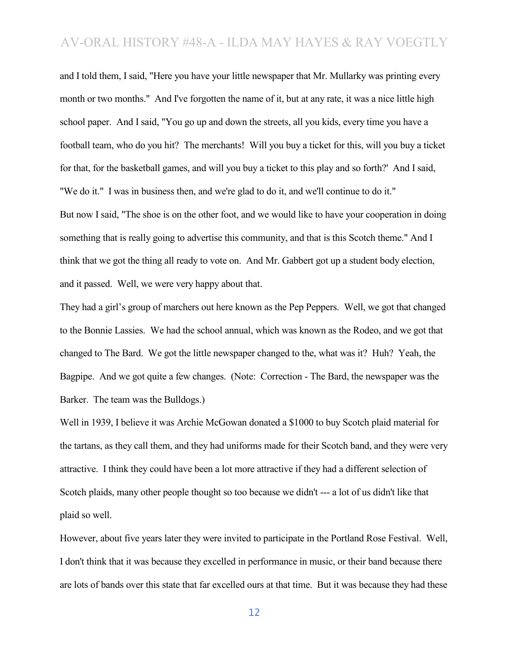and I told them, I said, "Here you have your little newspaper that Mr. Mullarky was printing every month or two months." And I've forgotten the name of it, but at any rate, it was a nice little high school paper. And I said, "You go up and down the streets, all you kids, every time you have a football team, who do you hit? The merchants! Will you buy a ticket for this, will you buy a ticket for that, for the basketball games, and will you buy a ticket to this play and so forth?' And I said, "We do it." I was in business then, and we're glad to do it, and we'll continue to do it." But now I said, "The shoe is on the other foot, and we would like to have your cooperation in doing something that is really going to advertise this community, and that is this Scotch theme." And I think that we got the thing all ready to vote on. And Mr. Gabbert got up a student body election, and it passed. Well, we were very happy about that.

They had a girl's group of marchers out here known as the Pep Peppers. Well, we got that changed to the Bonnie Lassies. We had the school annual, which was known as the Rodeo, and we got that changed to The Bard. We got the little newspaper changed to the, what was it? Huh? Yeah, the Bagpipe. And we got quite a few changes. (Note: Correction - The Bard, the newspaper was the Barker. The team was the Bulldogs.)

Well in 1939, I believe it was Archie McGowan donated a \$1000 to buy Scotch plaid material for the tartans, as they call them, and they had uniforms made for their Scotch band, and they were very attractive. I think they could have been a lot more attractive if they had a different selection of Scotch plaids, many other people thought so too because we didn't --- a lot of us didn't like that plaid so well.

However, about five years later they were invited to participate in the Portland Rose Festival. Well, I don't think that it was because they excelled in performance in music, or their band because there are lots of bands over this state that far excelled ours at that time. But it was because they had these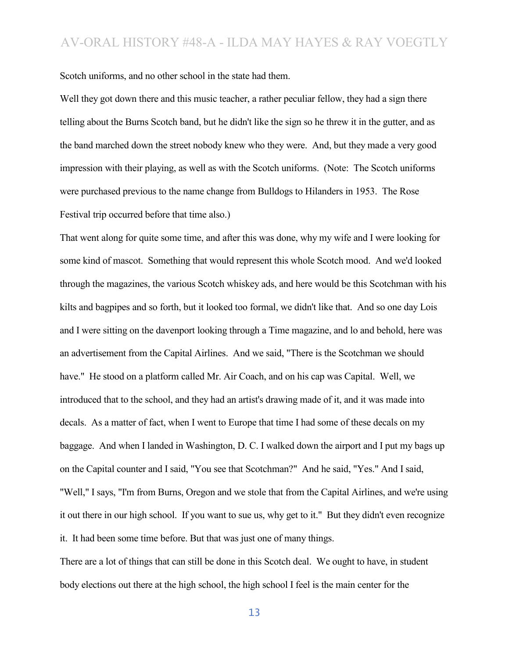Scotch uniforms, and no other school in the state had them.

Well they got down there and this music teacher, a rather peculiar fellow, they had a sign there telling about the Burns Scotch band, but he didn't like the sign so he threw it in the gutter, and as the band marched down the street nobody knew who they were. And, but they made a very good impression with their playing, as well as with the Scotch uniforms. (Note: The Scotch uniforms were purchased previous to the name change from Bulldogs to Hilanders in 1953. The Rose Festival trip occurred before that time also.)

That went along for quite some time, and after this was done, why my wife and I were looking for some kind of mascot. Something that would represent this whole Scotch mood. And we'd looked through the magazines, the various Scotch whiskey ads, and here would be this Scotchman with his kilts and bagpipes and so forth, but it looked too formal, we didn't like that. And so one day Lois and I were sitting on the davenport looking through a Time magazine, and lo and behold, here was an advertisement from the Capital Airlines. And we said, "There is the Scotchman we should have." He stood on a platform called Mr. Air Coach, and on his cap was Capital. Well, we introduced that to the school, and they had an artist's drawing made of it, and it was made into decals. As a matter of fact, when I went to Europe that time I had some of these decals on my baggage. And when I landed in Washington, D. C. I walked down the airport and I put my bags up on the Capital counter and I said, "You see that Scotchman?" And he said, "Yes." And I said, "Well," I says, "I'm from Burns, Oregon and we stole that from the Capital Airlines, and we're using it out there in our high school. If you want to sue us, why get to it." But they didn't even recognize it. It had been some time before. But that was just one of many things.

There are a lot of things that can still be done in this Scotch deal. We ought to have, in student body elections out there at the high school, the high school I feel is the main center for the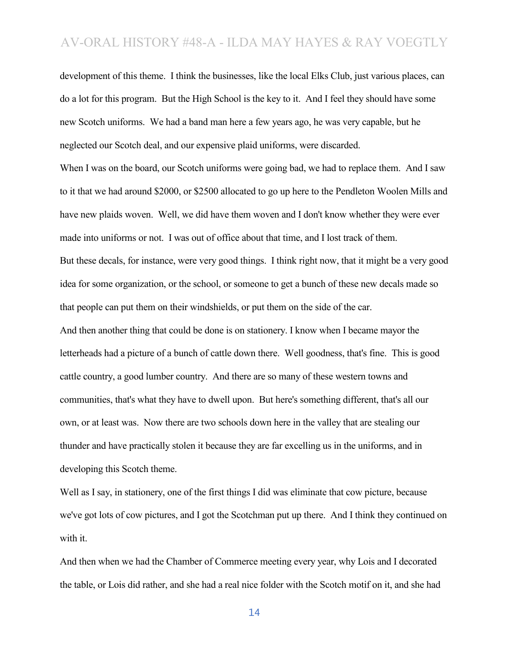development of this theme. I think the businesses, like the local Elks Club, just various places, can do a lot for this program. But the High School is the key to it. And I feel they should have some new Scotch uniforms. We had a band man here a few years ago, he was very capable, but he neglected our Scotch deal, and our expensive plaid uniforms, were discarded.

When I was on the board, our Scotch uniforms were going bad, we had to replace them. And I saw to it that we had around \$2000, or \$2500 allocated to go up here to the Pendleton Woolen Mills and have new plaids woven. Well, we did have them woven and I don't know whether they were ever made into uniforms or not. I was out of office about that time, and I lost track of them. But these decals, for instance, were very good things. I think right now, that it might be a very good idea for some organization, or the school, or someone to get a bunch of these new decals made so that people can put them on their windshields, or put them on the side of the car.

And then another thing that could be done is on stationery. I know when I became mayor the letterheads had a picture of a bunch of cattle down there. Well goodness, that's fine. This is good cattle country, a good lumber country. And there are so many of these western towns and communities, that's what they have to dwell upon. But here's something different, that's all our own, or at least was. Now there are two schools down here in the valley that are stealing our thunder and have practically stolen it because they are far excelling us in the uniforms, and in developing this Scotch theme.

Well as I say, in stationery, one of the first things I did was eliminate that cow picture, because we've got lots of cow pictures, and I got the Scotchman put up there. And I think they continued on with it.

And then when we had the Chamber of Commerce meeting every year, why Lois and I decorated the table, or Lois did rather, and she had a real nice folder with the Scotch motif on it, and she had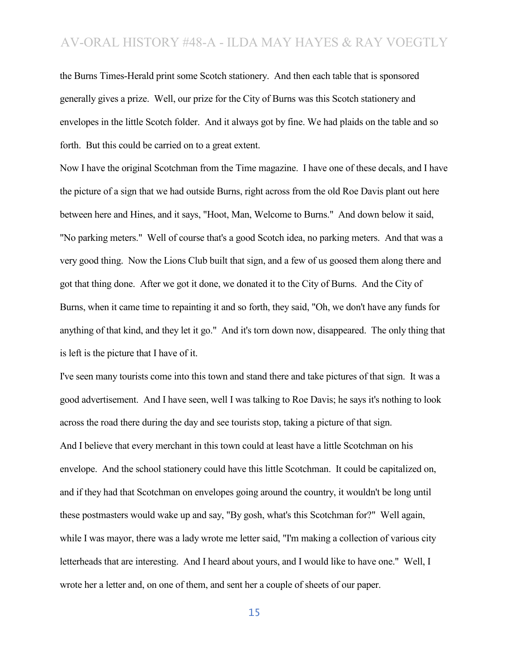the Burns Times-Herald print some Scotch stationery. And then each table that is sponsored generally gives a prize. Well, our prize for the City of Burns was this Scotch stationery and envelopes in the little Scotch folder. And it always got by fine. We had plaids on the table and so forth. But this could be carried on to a great extent.

Now I have the original Scotchman from the Time magazine. I have one of these decals, and I have the picture of a sign that we had outside Burns, right across from the old Roe Davis plant out here between here and Hines, and it says, "Hoot, Man, Welcome to Burns." And down below it said, "No parking meters." Well of course that's a good Scotch idea, no parking meters. And that was a very good thing. Now the Lions Club built that sign, and a few of us goosed them along there and got that thing done. After we got it done, we donated it to the City of Burns. And the City of Burns, when it came time to repainting it and so forth, they said, "Oh, we don't have any funds for anything of that kind, and they let it go." And it's torn down now, disappeared. The only thing that is left is the picture that I have of it.

I've seen many tourists come into this town and stand there and take pictures of that sign. It was a good advertisement. And I have seen, well I was talking to Roe Davis; he says it's nothing to look across the road there during the day and see tourists stop, taking a picture of that sign. And I believe that every merchant in this town could at least have a little Scotchman on his envelope. And the school stationery could have this little Scotchman. It could be capitalized on, and if they had that Scotchman on envelopes going around the country, it wouldn't be long until these postmasters would wake up and say, "By gosh, what's this Scotchman for?" Well again, while I was mayor, there was a lady wrote me letter said, "I'm making a collection of various city letterheads that are interesting. And I heard about yours, and I would like to have one." Well, I wrote her a letter and, on one of them, and sent her a couple of sheets of our paper.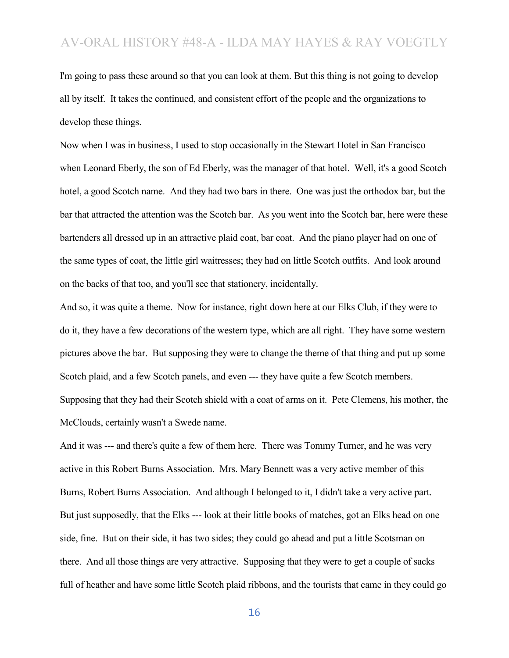I'm going to pass these around so that you can look at them. But this thing is not going to develop all by itself. It takes the continued, and consistent effort of the people and the organizations to develop these things.

Now when I was in business, I used to stop occasionally in the Stewart Hotel in San Francisco when Leonard Eberly, the son of Ed Eberly, was the manager of that hotel. Well, it's a good Scotch hotel, a good Scotch name. And they had two bars in there. One was just the orthodox bar, but the bar that attracted the attention was the Scotch bar. As you went into the Scotch bar, here were these bartenders all dressed up in an attractive plaid coat, bar coat. And the piano player had on one of the same types of coat, the little girl waitresses; they had on little Scotch outfits. And look around on the backs of that too, and you'll see that stationery, incidentally.

And so, it was quite a theme. Now for instance, right down here at our Elks Club, if they were to do it, they have a few decorations of the western type, which are all right. They have some western pictures above the bar. But supposing they were to change the theme of that thing and put up some Scotch plaid, and a few Scotch panels, and even --- they have quite a few Scotch members. Supposing that they had their Scotch shield with a coat of arms on it. Pete Clemens, his mother, the McClouds, certainly wasn't a Swede name.

And it was --- and there's quite a few of them here. There was Tommy Turner, and he was very active in this Robert Burns Association. Mrs. Mary Bennett was a very active member of this Burns, Robert Burns Association. And although I belonged to it, I didn't take a very active part. But just supposedly, that the Elks --- look at their little books of matches, got an Elks head on one side, fine. But on their side, it has two sides; they could go ahead and put a little Scotsman on there. And all those things are very attractive. Supposing that they were to get a couple of sacks full of heather and have some little Scotch plaid ribbons, and the tourists that came in they could go